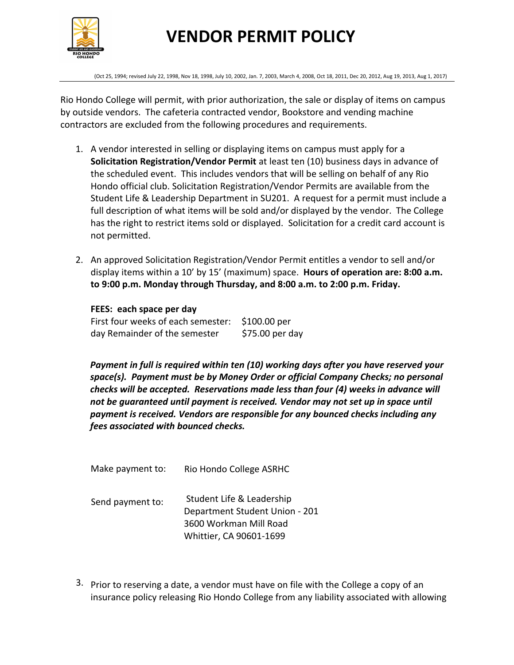

(Oct 25, 1994; revised July 22, 1998, Nov 18, 1998, July 10, 2002, Jan. 7, 2003, March 4, 2008, Oct 18, 2011, Dec 20, 2012, Aug 19, 2013, Aug 1, 2017)

Rio Hondo College will permit, with prior authorization, the sale or display of items on campus by outside vendors. The cafeteria contracted vendor, Bookstore and vending machine contractors are excluded from the following procedures and requirements.

- 1. A vendor interested in selling or displaying items on campus must apply for a **Solicitation Registration/Vendor Permit** at least ten (10) business days in advance of the scheduled event. This includes vendors that will be selling on behalf of any Rio Hondo official club. Solicitation Registration/Vendor Permits are available from the Student Life & Leadership Department in SU201. A request for a permit must include a full description of what items will be sold and/or displayed by the vendor. The College has the right to restrict items sold or displayed. Solicitation for a credit card account is not permitted.
- 2. An approved Solicitation Registration/Vendor Permit entitles a vendor to sell and/or display items within a 10' by 15' (maximum) space. **Hours of operation are: 8:00 a.m. to 9:00 p.m. Monday through Thursday, and 8:00 a.m. to 2:00 p.m. Friday.**

**FEES: each space per day** First four weeks of each semester: \$100.00 per day Remainder of the semester \$75.00 per day

*Payment in full is required within ten (10) working days after you have reserved your space(s). Payment must be by Money Order or official Company Checks; no personal checks will be accepted. Reservations made less than four (4) weeks in advance will not be guaranteed until payment is received. Vendor may not set up in space until payment is received. Vendors are responsible for any bounced checks including any fees associated with bounced checks.* 

| Rio Hondo College ASRHC                                                                                          |
|------------------------------------------------------------------------------------------------------------------|
| Student Life & Leadership<br>Department Student Union - 201<br>3600 Workman Mill Road<br>Whittier, CA 90601-1699 |
|                                                                                                                  |

3. Prior to reserving a date, a vendor must have on file with the College a copy of an insurance policy releasing Rio Hondo College from any liability associated with allowing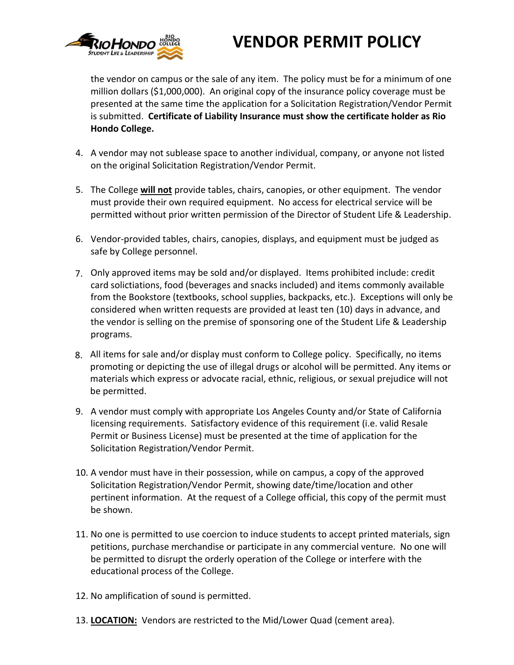

the vendor on campus or the sale of any item. The policy must be for a minimum of one million dollars (\$1,000,000). An original copy of the insurance policy coverage must be presented at the same time the application for a Solicitation Registration/Vendor Permit is submitted. **Certificate of Liability Insurance must show the certificate holder as Rio Hondo College.**

- 4. A vendor may not sublease space to another individual, company, or anyone not listed on the original Solicitation Registration/Vendor Permit.
- 5. The College **will not** provide tables, chairs, canopies, or other equipment. The vendor must provide their own required equipment. No access for electrical service will be permitted without prior written permission of the Director of Student Life & Leadership.
- 6. Vendor-provided tables, chairs, canopies, displays, and equipment must be judged as safe by College personnel.
- 7. Only approved items may be sold and/or displayed. Items prohibited include: credit card solictiations, food (beverages and snacks included) and items commonly available from the Bookstore (textbooks, school supplies, backpacks, etc.). Exceptions will only be considered when written requests are provided at least ten (10) days in advance, and the vendor is selling on the premise of sponsoring one of the Student Life & Leadership programs.
- All items for sale and/or display must conform to College policy. Specifically, no items 8.promoting or depicting the use of illegal drugs or alcohol will be permitted. Any items or materials which express or advocate racial, ethnic, religious, or sexual prejudice will not be permitted.
- 9. A vendor must comply with appropriate Los Angeles County and/or State of California licensing requirements. Satisfactory evidence of this requirement (i.e. valid Resale Permit or Business License) must be presented at the time of application for the Solicitation Registration/Vendor Permit.
- 10. A vendor must have in their possession, while on campus, a copy of the approved Solicitation Registration/Vendor Permit, showing date/time/location and other pertinent information. At the request of a College official, this copy of the permit must be shown.
- 11. No one is permitted to use coercion to induce students to accept printed materials, sign petitions, purchase merchandise or participate in any commercial venture. No one will be permitted to disrupt the orderly operation of the College or interfere with the educational process of the College.
- 12. No amplification of sound is permitted.
- 13. **LOCATION:** Vendors are restricted to the Mid/Lower Quad (cement area).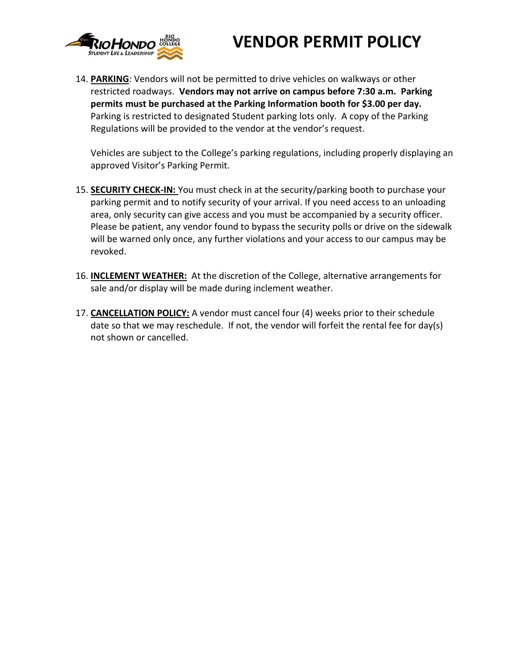

14. **PARKING**: Vendors will not be permitted to drive vehicles on walkways or other restricted roadways. **Vendors may not arrive on campus before 7:30 a.m. Parking permits must be purchased at the Parking Information booth for \$3.00 per day.** Parking is restricted to designated Student parking lots only. A copy of the Parking Regulations will be provided to the vendor at the vendor's request.

Vehicles are subject to the College's parking regulations, including properly displaying an approved Visitor's Parking Permit.

- 15. **SECURITY CHECK-IN:** You must check in at the security/parking booth to purchase your parking permit and to notify security of your arrival. If you need access to an unloading area, only security can give access and you must be accompanied by a security officer. Please be patient, any vendor found to bypass the security polls or drive on the sidewalk will be warned only once, any further violations and your access to our campus may be revoked.
- 16. **INCLEMENT WEATHER:** At the discretion of the College, alternative arrangements for sale and/or display will be made during inclement weather.
- 17. **CANCELLATION POLICY:** A vendor must cancel four (4) weeks prior to their schedule date so that we may reschedule. If not, the vendor will forfeit the rental fee for day(s) not shown or cancelled.